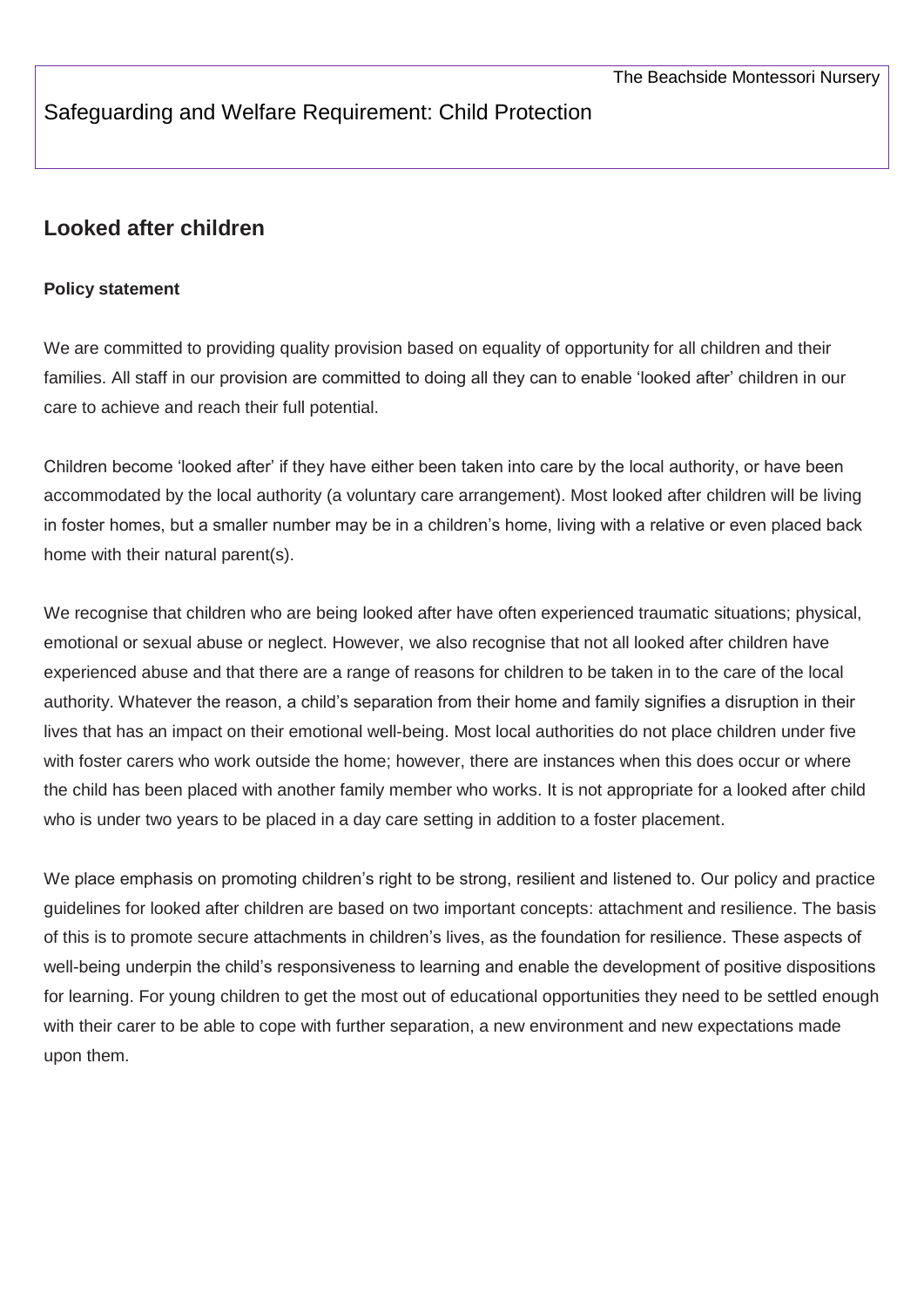## Safeguarding and Welfare Requirement: Child Protection

# **Looked after children**

#### **Policy statement**

We are committed to providing quality provision based on equality of opportunity for all children and their families. All staff in our provision are committed to doing all they can to enable 'looked after' children in our care to achieve and reach their full potential.

Children become 'looked after' if they have either been taken into care by the local authority, or have been accommodated by the local authority (a voluntary care arrangement). Most looked after children will be living in foster homes, but a smaller number may be in a children's home, living with a relative or even placed back home with their natural parent(s).

We recognise that children who are being looked after have often experienced traumatic situations; physical, emotional or sexual abuse or neglect. However, we also recognise that not all looked after children have experienced abuse and that there are a range of reasons for children to be taken in to the care of the local authority. Whatever the reason, a child's separation from their home and family signifies a disruption in their lives that has an impact on their emotional well-being. Most local authorities do not place children under five with foster carers who work outside the home; however, there are instances when this does occur or where the child has been placed with another family member who works. It is not appropriate for a looked after child who is under two years to be placed in a day care setting in addition to a foster placement.

We place emphasis on promoting children's right to be strong, resilient and listened to. Our policy and practice guidelines for looked after children are based on two important concepts: attachment and resilience. The basis of this is to promote secure attachments in children's lives, as the foundation for resilience. These aspects of well-being underpin the child's responsiveness to learning and enable the development of positive dispositions for learning. For young children to get the most out of educational opportunities they need to be settled enough with their carer to be able to cope with further separation, a new environment and new expectations made upon them.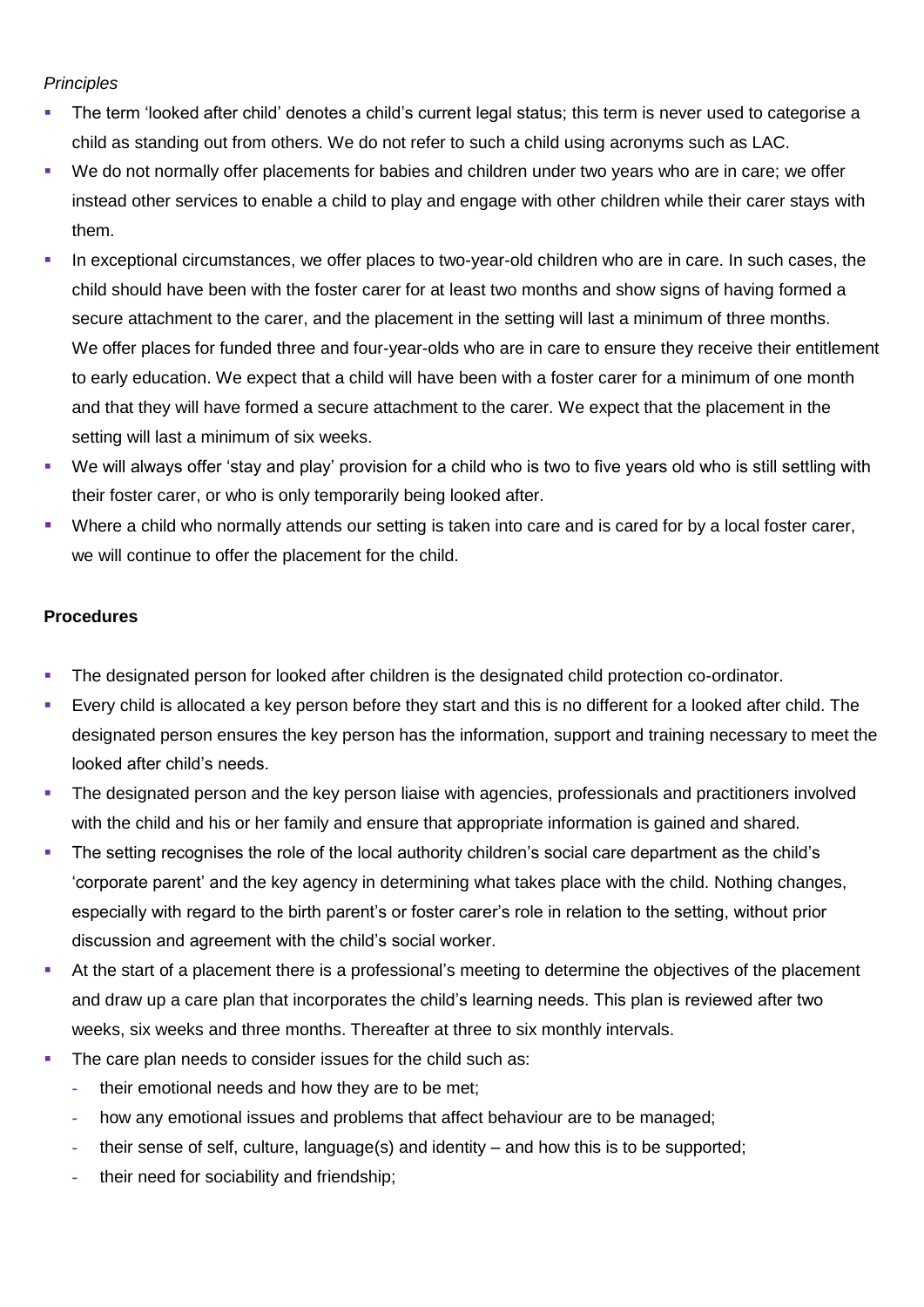### *Principles*

- The term 'looked after child' denotes a child's current legal status; this term is never used to categorise a child as standing out from others. We do not refer to such a child using acronyms such as LAC.
- We do not normally offer placements for babies and children under two years who are in care; we offer instead other services to enable a child to play and engage with other children while their carer stays with them.
- In exceptional circumstances, we offer places to two-year-old children who are in care. In such cases, the child should have been with the foster carer for at least two months and show signs of having formed a secure attachment to the carer, and the placement in the setting will last a minimum of three months. We offer places for funded three and four-year-olds who are in care to ensure they receive their entitlement to early education. We expect that a child will have been with a foster carer for a minimum of one month and that they will have formed a secure attachment to the carer. We expect that the placement in the setting will last a minimum of six weeks.
- We will always offer 'stay and play' provision for a child who is two to five years old who is still settling with their foster carer, or who is only temporarily being looked after.
- Where a child who normally attends our setting is taken into care and is cared for by a local foster carer, we will continue to offer the placement for the child.

#### **Procedures**

- The designated person for looked after children is the designated child protection co-ordinator.
- Every child is allocated a key person before they start and this is no different for a looked after child. The designated person ensures the key person has the information, support and training necessary to meet the looked after child's needs.
- **The designated person and the key person liaise with agencies, professionals and practitioners involved** with the child and his or her family and ensure that appropriate information is gained and shared.
- The setting recognises the role of the local authority children's social care department as the child's 'corporate parent' and the key agency in determining what takes place with the child. Nothing changes, especially with regard to the birth parent's or foster carer's role in relation to the setting, without prior discussion and agreement with the child's social worker.
- At the start of a placement there is a professional's meeting to determine the objectives of the placement and draw up a care plan that incorporates the child's learning needs. This plan is reviewed after two weeks, six weeks and three months. Thereafter at three to six monthly intervals.
- The care plan needs to consider issues for the child such as:
	- **-** their emotional needs and how they are to be met;
	- **-** how any emotional issues and problems that affect behaviour are to be managed;
	- **-** their sense of self, culture, language(s) and identity and how this is to be supported;
	- **-** their need for sociability and friendship;